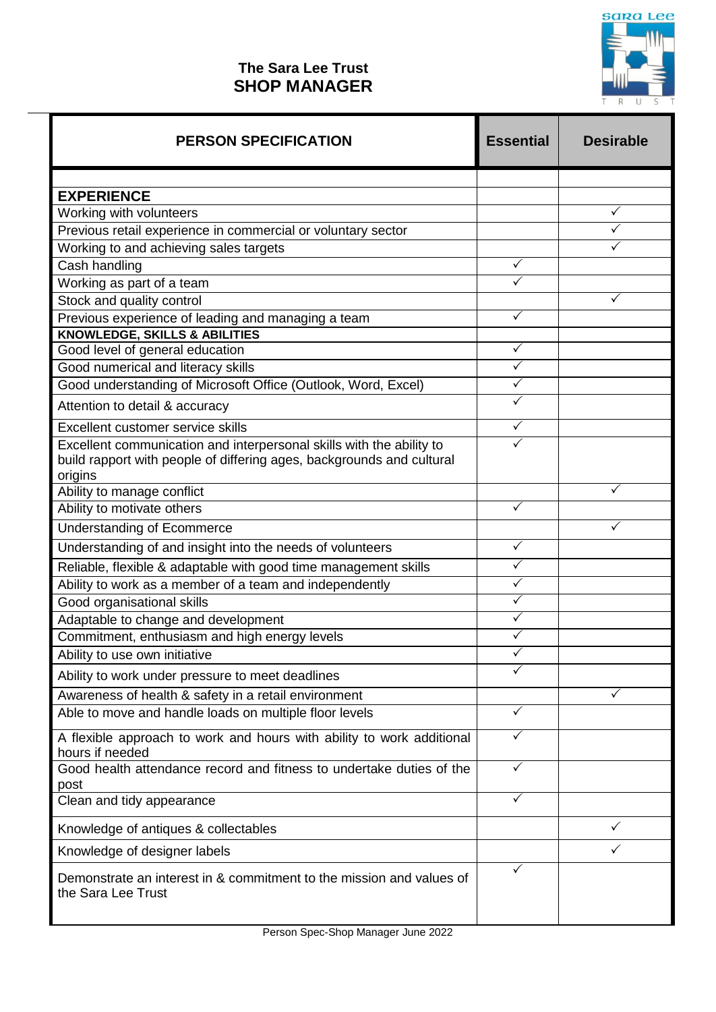

## **The Sara Lee Trust SHOP MANAGER**

| <b>PERSON SPECIFICATION</b>                                                                                                                              | <b>Essential</b> | <b>Desirable</b> |
|----------------------------------------------------------------------------------------------------------------------------------------------------------|------------------|------------------|
| <b>EXPERIENCE</b>                                                                                                                                        |                  |                  |
| Working with volunteers                                                                                                                                  |                  |                  |
| Previous retail experience in commercial or voluntary sector                                                                                             |                  |                  |
| Working to and achieving sales targets                                                                                                                   |                  |                  |
| Cash handling                                                                                                                                            | ✓                |                  |
| Working as part of a team                                                                                                                                | ✓                |                  |
| Stock and quality control                                                                                                                                |                  |                  |
| Previous experience of leading and managing a team                                                                                                       | ✓                |                  |
| <b>KNOWLEDGE, SKILLS &amp; ABILITIES</b>                                                                                                                 |                  |                  |
| Good level of general education                                                                                                                          | $\checkmark$     |                  |
| Good numerical and literacy skills                                                                                                                       | ✓                |                  |
| Good understanding of Microsoft Office (Outlook, Word, Excel)                                                                                            | ✓                |                  |
| Attention to detail & accuracy                                                                                                                           |                  |                  |
| Excellent customer service skills                                                                                                                        | $\checkmark$     |                  |
| Excellent communication and interpersonal skills with the ability to<br>build rapport with people of differing ages, backgrounds and cultural<br>origins |                  |                  |
| Ability to manage conflict                                                                                                                               |                  |                  |
| Ability to motivate others                                                                                                                               | $\checkmark$     |                  |
| <b>Understanding of Ecommerce</b>                                                                                                                        |                  |                  |
| Understanding of and insight into the needs of volunteers                                                                                                | ✓                |                  |
| Reliable, flexible & adaptable with good time management skills                                                                                          | $\checkmark$     |                  |
| Ability to work as a member of a team and independently                                                                                                  | ✓                |                  |
| Good organisational skills                                                                                                                               | $\checkmark$     |                  |
| Adaptable to change and development                                                                                                                      | ✓                |                  |
| Commitment, enthusiasm and high energy levels                                                                                                            | ✓                |                  |
| Ability to use own initiative                                                                                                                            | ✓                |                  |
| Ability to work under pressure to meet deadlines                                                                                                         |                  |                  |
| Awareness of health & safety in a retail environment                                                                                                     |                  |                  |
| Able to move and handle loads on multiple floor levels                                                                                                   |                  |                  |
| A flexible approach to work and hours with ability to work additional<br>hours if needed                                                                 | ✓                |                  |
| Good health attendance record and fitness to undertake duties of the<br>post                                                                             | ✓                |                  |
| Clean and tidy appearance                                                                                                                                |                  |                  |
| Knowledge of antiques & collectables                                                                                                                     |                  | ✓                |
| Knowledge of designer labels                                                                                                                             |                  |                  |
| Demonstrate an interest in & commitment to the mission and values of<br>the Sara Lee Trust                                                               |                  |                  |